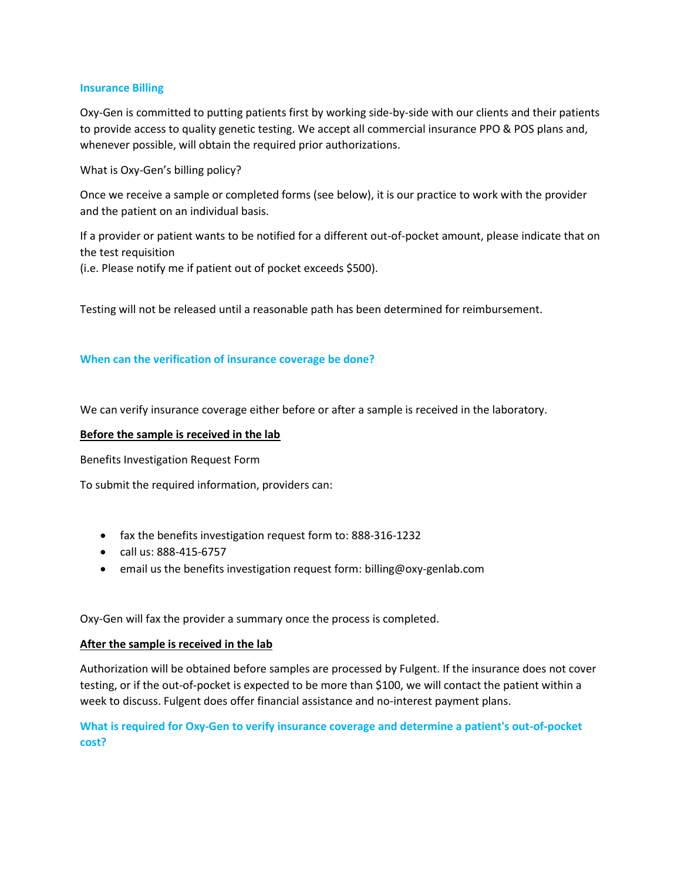### **Insurance Billing**

Oxy-Gen is committed to putting patients first by working side-by-side with our clients and their patients to provide access to quality genetic testing. We accept all commercial insurance PPO & POS plans and, whenever possible, will obtain the required prior authorizations.

What is Oxy-Gen's billing policy?

Once we receive a sample or completed forms (see below), it is our practice to work with the provider and the patient on an individual basis.

If a provider or patient wants to be notified for a different out-of-pocket amount, please indicate that on the test requisition

(i.e. Please notify me if patient out of pocket exceeds \$500).

Testing will not be released until a reasonable path has been determined for reimbursement.

### **When can the verification of insurance coverage be done?**

We can verify insurance coverage either before or after a sample is received in the laboratory.

### **Before the sample is received in the lab**

Benefits Investigation Request Form

To submit the required information, providers can:

- fax the benefits investigation request form to: 888-316-1232
- call us: 888-415-6757
- email us the benefits investigation request form: billing@oxy-genlab.com

Oxy-Gen will fax the provider a summary once the process is completed.

#### **After the sample is received in the lab**

Authorization will be obtained before samples are processed by Fulgent. If the insurance does not cover testing, or if the out-of-pocket is expected to be more than \$100, we will contact the patient within a week to discuss. Fulgent does offer financial assistance and no-interest payment plans.

**What is required for Oxy-Gen to verify insurance coverage and determine a patient's out-of-pocket cost?**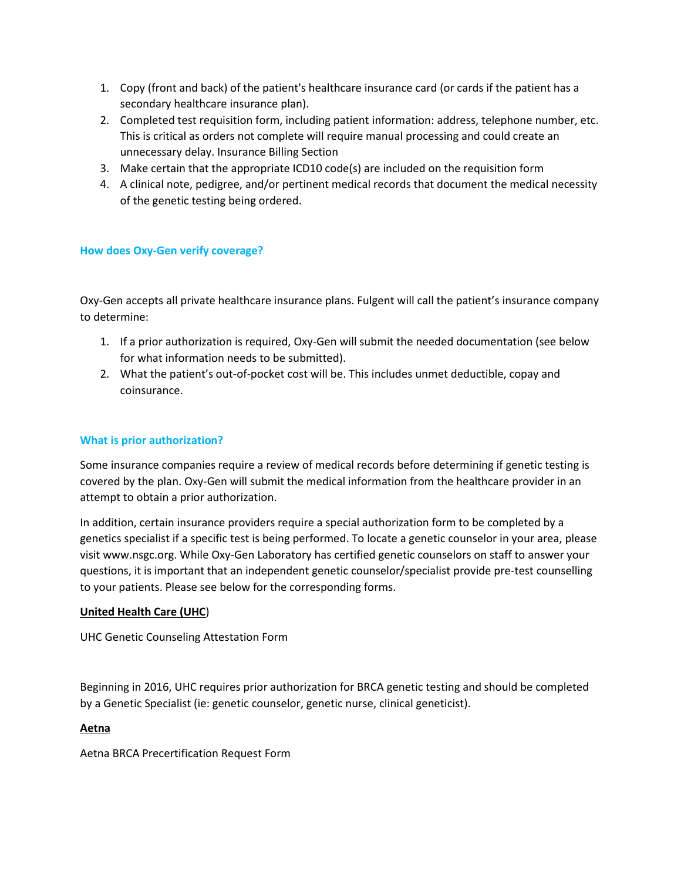- 1. Copy (front and back) of the patient's healthcare insurance card (or cards if the patient has a secondary healthcare insurance plan).
- 2. Completed test requisition form, including patient information: address, telephone number, etc. This is critical as orders not complete will require manual processing and could create an unnecessary delay. Insurance Billing Section
- 3. Make certain that the appropriate ICD10 code(s) are included on the requisition form
- 4. A clinical note, pedigree, and/or pertinent medical records that document the medical necessity of the genetic testing being ordered.

# **How does Oxy-Gen verify coverage?**

Oxy-Gen accepts all private healthcare insurance plans. Fulgent will call the patient's insurance company to determine:

- 1. If a prior authorization is required, Oxy-Gen will submit the needed documentation (see below for what information needs to be submitted).
- 2. What the patient's out-of-pocket cost will be. This includes unmet deductible, copay and coinsurance.

## **What is prior authorization?**

Some insurance companies require a review of medical records before determining if genetic testing is covered by the plan. Oxy-Gen will submit the medical information from the healthcare provider in an attempt to obtain a prior authorization.

In addition, certain insurance providers require a special authorization form to be completed by a genetics specialist if a specific test is being performed. To locate a genetic counselor in your area, please visit www.nsgc.org. While Oxy-Gen Laboratory has certified genetic counselors on staff to answer your questions, it is important that an independent genetic counselor/specialist provide pre-test counselling to your patients. Please see below for the corresponding forms.

## **United Health Care (UHC**)

UHC Genetic Counseling Attestation Form

Beginning in 2016, UHC requires prior authorization for BRCA genetic testing and should be completed by a Genetic Specialist (ie: genetic counselor, genetic nurse, clinical geneticist).

## **Aetna**

Aetna BRCA Precertification Request Form